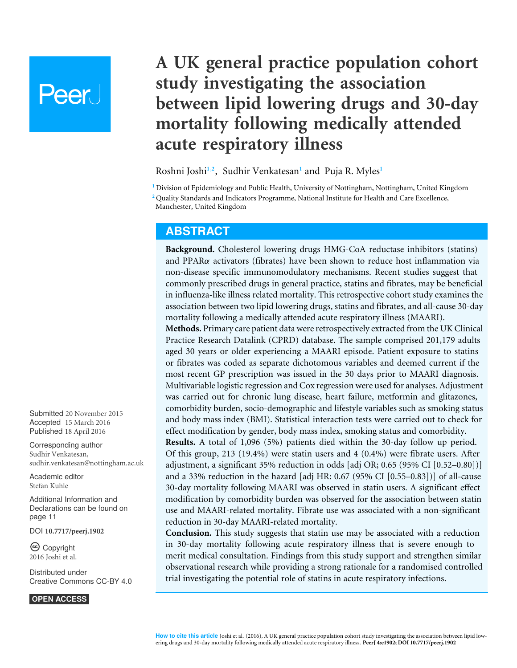# Peer

## **A UK general practice population cohort study investigating the association between lipid lowering drugs and 30-day mortality following medically attended acute respiratory illness**

<span id="page-0-4"></span><span id="page-0-3"></span><span id="page-0-2"></span>Roshni Joshi**[1](#page-0-0)**,**[2](#page-0-1)** , Sudhir Venkatesan**[1](#page-0-0)** and Puja R. Myles**[1](#page-0-0)**

<span id="page-0-0"></span>**<sup>1</sup>** Division of Epidemiology and Public Health, University of Nottingham, Nottingham, United Kingdom **<sup>2</sup>** Quality Standards and Indicators Programme, National Institute for Health and Care Excellence,

<span id="page-0-1"></span>Manchester, United Kingdom

## **ABSTRACT**

**Background.** Cholesterol lowering drugs HMG-CoA reductase inhibitors (statins) and PPAR $\alpha$  activators (fibrates) have been shown to reduce host inflammation via non-disease specific immunomodulatory mechanisms. Recent studies suggest that commonly prescribed drugs in general practice, statins and fibrates, may be beneficial in influenza-like illness related mortality. This retrospective cohort study examines the association between two lipid lowering drugs, statins and fibrates, and all-cause 30-day mortality following a medically attended acute respiratory illness (MAARI).

**Methods.** Primary care patient data were retrospectively extracted from the UK Clinical Practice Research Datalink (CPRD) database. The sample comprised 201,179 adults aged 30 years or older experiencing a MAARI episode. Patient exposure to statins or fibrates was coded as separate dichotomous variables and deemed current if the most recent GP prescription was issued in the 30 days prior to MAARI diagnosis. Multivariable logistic regression and Cox regression were used for analyses. Adjustment was carried out for chronic lung disease, heart failure, metformin and glitazones, comorbidity burden, socio-demographic and lifestyle variables such as smoking status and body mass index (BMI). Statistical interaction tests were carried out to check for effect modification by gender, body mass index, smoking status and comorbidity.

**Results.** A total of 1,096 (5%) patients died within the 30-day follow up period. Of this group, 213 (19.4%) were statin users and 4 (0.4%) were fibrate users. After adjustment, a significant 35% reduction in odds [adj OR; 0.65 (95% CI [0.52–0.80])] and a 33% reduction in the hazard [adj HR: 0.67 (95% CI [0.55–0.83])] of all-cause 30-day mortality following MAARI was observed in statin users. A significant effect modification by comorbidity burden was observed for the association between statin use and MAARI-related mortality. Fibrate use was associated with a non-significant reduction in 30-day MAARI-related mortality.

**Conclusion.** This study suggests that statin use may be associated with a reduction in 30-day mortality following acute respiratory illness that is severe enough to merit medical consultation. Findings from this study support and strengthen similar observational research while providing a strong rationale for a randomised controlled trial investigating the potential role of statins in acute respiratory infections.

Submitted 20 November 2015 Accepted 15 March 2016 Published 18 April 2016

Corresponding author Sudhir Venkatesan, [sudhir.venkatesan@nottingham.ac.uk](mailto:sudhir.venkatesan@nottingham.ac.uk)

[Academic editor](https://peerj.com/academic-boards/editors/) [Stefan Kuhle](https://peerj.com/academic-boards/editors/)

[Additional Information and](#page-10-0) [Declarations can be found on](#page-10-0) [page 11](#page-10-0)

DOI **[10.7717/peerj.1902](http://dx.doi.org/10.7717/peerj.1902)**

Ccopyright 2016 Joshi et al.

[Distributed under](http://creativecommons.org/licenses/by/4.0/) [Creative Commons CC-BY 4.0](http://creativecommons.org/licenses/by/4.0/)

**OPEN ACCESS**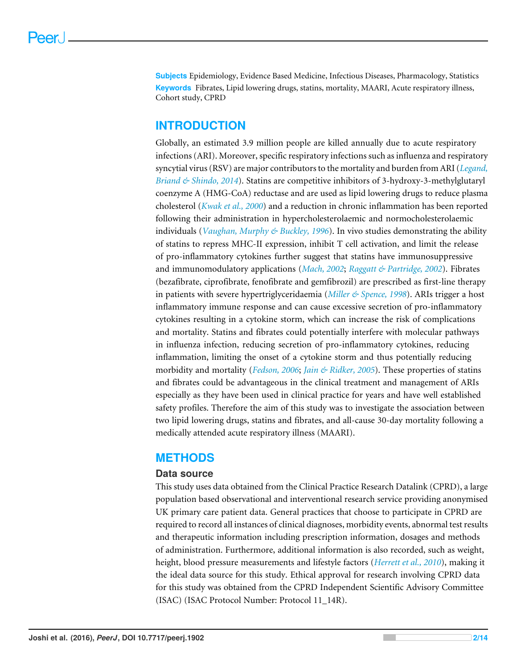**Subjects** Epidemiology, Evidence Based Medicine, Infectious Diseases, Pharmacology, Statistics **Keywords** Fibrates, Lipid lowering drugs, statins, mortality, MAARI, Acute respiratory illness, Cohort study, CPRD

## **INTRODUCTION**

Globally, an estimated 3.9 million people are killed annually due to acute respiratory infections (ARI). Moreover, specific respiratory infections such as influenza and respiratory syncytial virus (RSV) are major contributors to the mortality and burden from ARI (*[Legand,](#page-12-0) [Briand & Shindo, 2014](#page-12-0)*). Statins are competitive inhibitors of 3-hydroxy-3-methylglutaryl coenzyme A (HMG-CoA) reductase and are used as lipid lowering drugs to reduce plasma cholesterol (*[Kwak et al., 2000](#page-12-1)*) and a reduction in chronic inflammation has been reported following their administration in hypercholesterolaemic and normocholesterolaemic individuals (*[Vaughan, Murphy & Buckley, 1996](#page-13-0)*). In vivo studies demonstrating the ability of statins to repress MHC-II expression, inhibit T cell activation, and limit the release of pro-inflammatory cytokines further suggest that statins have immunosuppressive and immunomodulatory applications (*[Mach, 2002](#page-12-2)*; *[Raggatt & Partridge, 2002](#page-12-3)*). Fibrates (bezafibrate, ciprofibrate, fenofibrate and gemfibrozil) are prescribed as first-line therapy in patients with severe hypertriglyceridaemia (*[Miller & Spence, 1998](#page-12-4)*). ARIs trigger a host inflammatory immune response and can cause excessive secretion of pro-inflammatory cytokines resulting in a cytokine storm, which can increase the risk of complications and mortality. Statins and fibrates could potentially interfere with molecular pathways in influenza infection, reducing secretion of pro-inflammatory cytokines, reducing inflammation, limiting the onset of a cytokine storm and thus potentially reducing morbidity and mortality (*[Fedson, 2006](#page-11-0)*; *[Jain & Ridker, 2005](#page-12-5)*). These properties of statins and fibrates could be advantageous in the clinical treatment and management of ARIs especially as they have been used in clinical practice for years and have well established safety profiles. Therefore the aim of this study was to investigate the association between two lipid lowering drugs, statins and fibrates, and all-cause 30-day mortality following a medically attended acute respiratory illness (MAARI).

## **METHODS**

## **Data source**

This study uses data obtained from the Clinical Practice Research Datalink (CPRD), a large population based observational and interventional research service providing anonymised UK primary care patient data. General practices that choose to participate in CPRD are required to record all instances of clinical diagnoses, morbidity events, abnormal test results and therapeutic information including prescription information, dosages and methods of administration. Furthermore, additional information is also recorded, such as weight, height, blood pressure measurements and lifestyle factors (*[Herrett et al., 2010](#page-11-1)*), making it the ideal data source for this study. Ethical approval for research involving CPRD data for this study was obtained from the CPRD Independent Scientific Advisory Committee (ISAC) (ISAC Protocol Number: Protocol 11\_14R).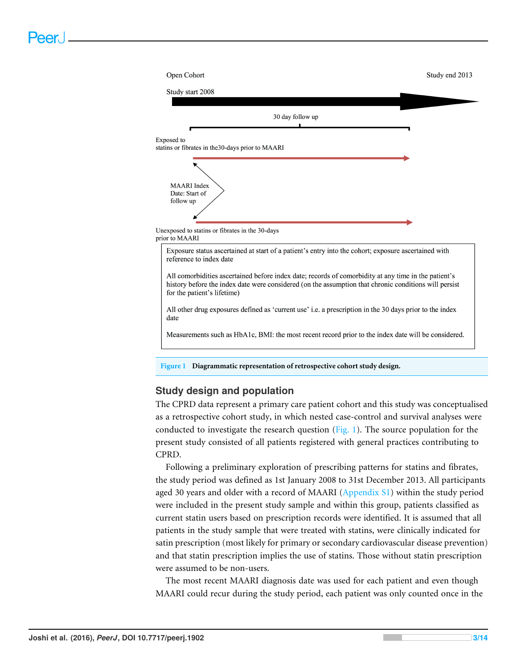<span id="page-2-0"></span>

## **Study design and population**

The CPRD data represent a primary care patient cohort and this study was conceptualised as a retrospective cohort study, in which nested case-control and survival analyses were conducted to investigate the research question [\(Fig. 1\)](#page-2-0). The source population for the present study consisted of all patients registered with general practices contributing to CPRD.

Following a preliminary exploration of prescribing patterns for statins and fibrates, the study period was defined as 1st January 2008 to 31st December 2013. All participants aged 30 years and older with a record of MAARI [\(Appendix S1\)](http://dx.doi.org/10.7717/peerj.1902/supp-1) within the study period were included in the present study sample and within this group, patients classified as current statin users based on prescription records were identified. It is assumed that all patients in the study sample that were treated with statins, were clinically indicated for satin prescription (most likely for primary or secondary cardiovascular disease prevention) and that statin prescription implies the use of statins. Those without statin prescription were assumed to be non-users.

The most recent MAARI diagnosis date was used for each patient and even though MAARI could recur during the study period, each patient was only counted once in the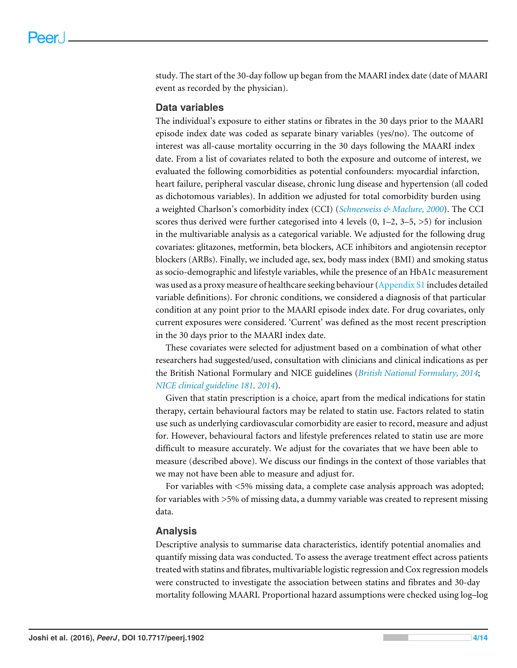study. The start of the 30-day follow up began from the MAARI index date (date of MAARI event as recorded by the physician).

## **Data variables**

The individual's exposure to either statins or fibrates in the 30 days prior to the MAARI episode index date was coded as separate binary variables (yes/no). The outcome of interest was all-cause mortality occurring in the 30 days following the MAARI index date. From a list of covariates related to both the exposure and outcome of interest, we evaluated the following comorbidities as potential confounders: myocardial infarction, heart failure, peripheral vascular disease, chronic lung disease and hypertension (all coded as dichotomous variables). In addition we adjusted for total comorbidity burden using a weighted Charlson's comorbidity index (CCI) (*[Schneeweiss & Maclure, 2000](#page-12-6)*). The CCI scores thus derived were further categorised into 4 levels  $(0, 1-2, 3-5, 5)$  for inclusion in the multivariable analysis as a categorical variable. We adjusted for the following drug covariates: glitazones, metformin, beta blockers, ACE inhibitors and angiotensin receptor blockers (ARBs). Finally, we included age, sex, body mass index (BMI) and smoking status as socio-demographic and lifestyle variables, while the presence of an HbA1c measurement was used as a proxy measure of healthcare seeking behaviour [\(Appendix S1](http://dx.doi.org/10.7717/peerj.1902/supp-1) includes detailed variable definitions). For chronic conditions, we considered a diagnosis of that particular condition at any point prior to the MAARI episode index date. For drug covariates, only current exposures were considered. 'Current' was defined as the most recent prescription in the 30 days prior to the MAARI index date.

These covariates were selected for adjustment based on a combination of what other researchers had suggested/used, consultation with clinicians and clinical indications as per the British National Formulary and NICE guidelines (*[British National Formulary, 2014](#page-11-2)*; *[NICE clinical guideline 181, 2014](#page-12-7)*).

Given that statin prescription is a choice, apart from the medical indications for statin therapy, certain behavioural factors may be related to statin use. Factors related to statin use such as underlying cardiovascular comorbidity are easier to record, measure and adjust for. However, behavioural factors and lifestyle preferences related to statin use are more difficult to measure accurately. We adjust for the covariates that we have been able to measure (described above). We discuss our findings in the context of those variables that we may not have been able to measure and adjust for.

For variables with <5% missing data, a complete case analysis approach was adopted; for variables with >5% of missing data, a dummy variable was created to represent missing data.

## **Analysis**

Descriptive analysis to summarise data characteristics, identify potential anomalies and quantify missing data was conducted. To assess the average treatment effect across patients treated with statins and fibrates, multivariable logistic regression and Cox regression models were constructed to investigate the association between statins and fibrates and 30-day mortality following MAARI. Proportional hazard assumptions were checked using log–log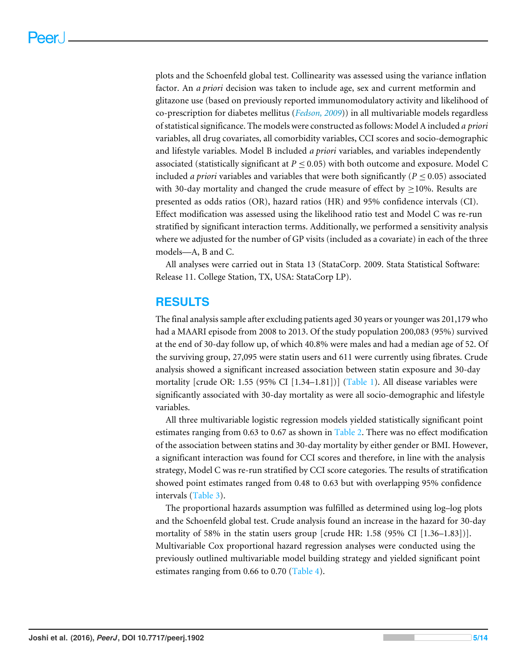plots and the Schoenfeld global test. Collinearity was assessed using the variance inflation factor. An *a priori* decision was taken to include age, sex and current metformin and glitazone use (based on previously reported immunomodulatory activity and likelihood of co-prescription for diabetes mellitus (*[Fedson, 2009](#page-11-3)*)) in all multivariable models regardless of statistical significance. The models were constructed as follows: Model A included *a priori* variables, all drug covariates, all comorbidity variables, CCI scores and socio-demographic and lifestyle variables. Model B included *a priori* variables, and variables independently associated (statistically significant at  $P \leq 0.05$ ) with both outcome and exposure. Model C included *a priori* variables and variables that were both significantly ( $P \leq 0.05$ ) associated with 30-day mortality and changed the crude measure of effect by  $>10\%$ . Results are presented as odds ratios (OR), hazard ratios (HR) and 95% confidence intervals (CI). Effect modification was assessed using the likelihood ratio test and Model C was re-run stratified by significant interaction terms. Additionally, we performed a sensitivity analysis where we adjusted for the number of GP visits (included as a covariate) in each of the three models—A, B and C.

All analyses were carried out in Stata 13 (StataCorp. 2009. Stata Statistical Software: Release 11. College Station, TX, USA: StataCorp LP).

## **RESULTS**

The final analysis sample after excluding patients aged 30 years or younger was 201,179 who had a MAARI episode from 2008 to 2013. Of the study population 200,083 (95%) survived at the end of 30-day follow up, of which 40.8% were males and had a median age of 52. Of the surviving group, 27,095 were statin users and 611 were currently using fibrates. Crude analysis showed a significant increased association between statin exposure and 30-day mortality [crude OR: 1.55 (95% CI  $[1.34-1.81]$ ] [\(Table 1\)](#page-5-0). All disease variables were significantly associated with 30-day mortality as were all socio-demographic and lifestyle variables.

All three multivariable logistic regression models yielded statistically significant point estimates ranging from 0.63 to 0.67 as shown in [Table 2.](#page-6-0) There was no effect modification of the association between statins and 30-day mortality by either gender or BMI. However, a significant interaction was found for CCI scores and therefore, in line with the analysis strategy, Model C was re-run stratified by CCI score categories. The results of stratification showed point estimates ranged from 0.48 to 0.63 but with overlapping 95% confidence intervals [\(Table 3\)](#page-6-1).

The proportional hazards assumption was fulfilled as determined using log–log plots and the Schoenfeld global test. Crude analysis found an increase in the hazard for 30-day mortality of 58% in the statin users group [crude HR: 1.58 (95% CI [1.36–1.83])]. Multivariable Cox proportional hazard regression analyses were conducted using the previously outlined multivariable model building strategy and yielded significant point estimates ranging from 0.66 to 0.70 [\(Table 4\)](#page-6-2).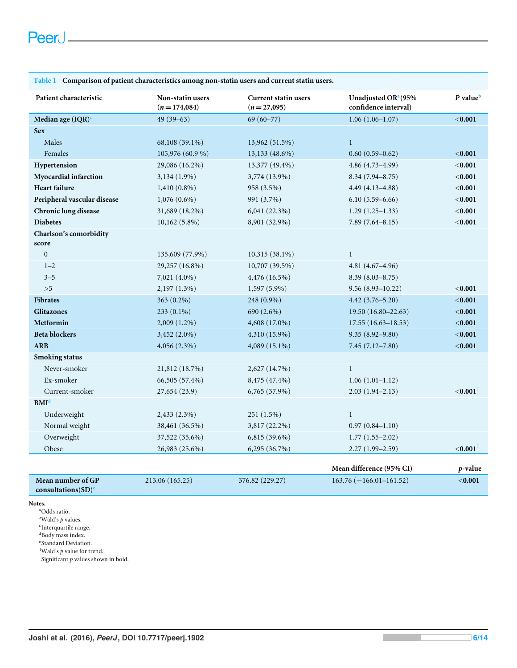#### <span id="page-5-0"></span>**Table 1 Comparison of patient characteristics among non-statin users and current statin users.**

| Patient characteristic      | Non-statin users<br>$(n = 174,084)$ | <b>Current statin users</b><br>$(n=27,095)$ | Unadjusted OR <sup>a</sup> (95%<br>confidence interval) | P value <sup>b</sup> |
|-----------------------------|-------------------------------------|---------------------------------------------|---------------------------------------------------------|----------------------|
| Median age $(IQR)^c$        | $49(39-63)$                         | $69(60 - 77)$                               | $1.06(1.06 - 1.07)$                                     | $0.001$              |
| <b>Sex</b>                  |                                     |                                             |                                                         |                      |
| Males                       | 68,108 (39.1%)                      | 13,962 (51.5%)                              | $\mathbf{1}$                                            |                      |
| Females                     | 105,976 (60.9 %)                    | 13,133 (48.6%)                              | $0.60(0.59 - 0.62)$                                     | < 0.001              |
| Hypertension                | 29,086 (16.2%)                      | 13,377 (49.4%)                              | $4.86(4.73 - 4.99)$                                     | < 0.001              |
| Myocardial infarction       | 3,134 (1.9%)                        | 3,774 (13.9%)                               | $8.34(7.94 - 8.75)$                                     | < 0.001              |
| <b>Heart failure</b>        | $1,410(0.8\%)$                      | 958 (3.5%)                                  | $4.49(4.13 - 4.88)$                                     | < 0.001              |
| Peripheral vascular disease | $1,076(0.6\%)$                      | 991 (3.7%)                                  | $6.10(5.59 - 6.66)$                                     | < 0.001              |
| Chronic lung disease        | 31,689 (18.2%)                      | $6,041(22.3\%)$                             | $1.29(1.25-1.33)$                                       | < 0.001              |
| <b>Diabetes</b>             | $10,162(5.8\%)$                     | 8,901 (32.9%)                               | $7.89(7.64 - 8.15)$                                     | < 0.001              |
| Charlson's comorbidity      |                                     |                                             |                                                         |                      |
| score                       |                                     |                                             |                                                         |                      |
| $\boldsymbol{0}$            | 135,609 (77.9%)                     | 10,315 (38.1%)                              | $\mathbf{1}$                                            |                      |
| $1 - 2$                     | 29,257 (16.8%)                      | $10,707(39.5\%)$                            | $4.81(4.67 - 4.96)$                                     |                      |
| $3 - 5$                     | 7,021 (4.0%)                        | 4,476 (16.5%)                               | $8.39(8.03 - 8.75)$                                     |                      |
| >5                          | $2,197(1.3\%)$                      | 1,597 (5.9%)                                | $9.56(8.93 - 10.22)$                                    | < 0.001              |
| <b>Fibrates</b>             | $363(0.2\%)$                        | 248 (0.9%)                                  | $4.42(3.76 - 5.20)$                                     | < 0.001              |
| <b>Glitazones</b>           | 233 (0.1%)                          | 690 (2.6%)                                  | 19.50 (16.80-22.63)                                     | < 0.001              |
| Metformin                   | $2,009(1.2\%)$                      | 4,608 (17.0%)                               | $17.55(16.63 - 18.53)$                                  | < 0.001              |
| <b>Beta blockers</b>        | 3,452 (2.0%)                        | 4,310 (15.9%)                               | $9.35(8.92 - 9.80)$                                     | $0.001$              |
| <b>ARB</b>                  | $4,056(2.3\%)$                      | 4,089 (15.1%)                               | $7.45(7.12 - 7.80)$                                     | < 0.001              |
| <b>Smoking status</b>       |                                     |                                             |                                                         |                      |
| Never-smoker                | 21,812 (18.7%)                      | 2,627 (14.7%)                               | $\mathbf{1}$                                            |                      |
| Ex-smoker                   | 66,505 (57.4%)                      | 8,475 (47.4%)                               | $1.06(1.01-1.12)$                                       |                      |
| Current-smoker              | 27,654 (23.9)                       | 6,765 (37.9%)                               | $2.03(1.94 - 2.13)$                                     | $<$ 0.001 $^{\rm f}$ |
| BMI <sup>d</sup>            |                                     |                                             |                                                         |                      |
| Underweight                 | 2,433 (2.3%)                        | 251 (1.5%)                                  | $\mathbf{1}$                                            |                      |
| Normal weight               | 38,461 (36.5%)                      | 3,817 (22.2%)                               | $0.97(0.84 - 1.10)$                                     |                      |
| Overweight                  | 37,522 (35.6%)                      | 6,815 (39.6%)                               | $1.77(1.55 - 2.02)$                                     |                      |
| Obese                       | 26,983 (25.6%)                      | 6,295 (36.7%)                               | $2.27(1.99 - 2.59)$                                     | $<$ 0.001 $^{\rm f}$ |
|                             |                                     |                                             |                                                         |                      |

|                                 |                 |                 | Mean difference (95% CI) | p-value |
|---------------------------------|-----------------|-----------------|--------------------------|---------|
| Mean number of GP               | 213.06 (165.25) | 376.82 (229.27) | $163.76(-166.01-161.52)$ | <0.001  |
| consultations $SD$ <sup>e</sup> |                 |                 |                          |         |

#### <span id="page-5-1"></span>**Notes.**

<span id="page-5-2"></span><sup>a</sup>Odds ratio.  $^{\rm b}$  Wald's  $p$  values.

<span id="page-5-5"></span><span id="page-5-3"></span>c Interquartile range.  $^{\rm d}$  Body mass index.

<span id="page-5-6"></span>e Standard Deviation.

<span id="page-5-4"></span><sup>f</sup>Wald's *p* value for trend.

Significant  $p$  values shown in bold.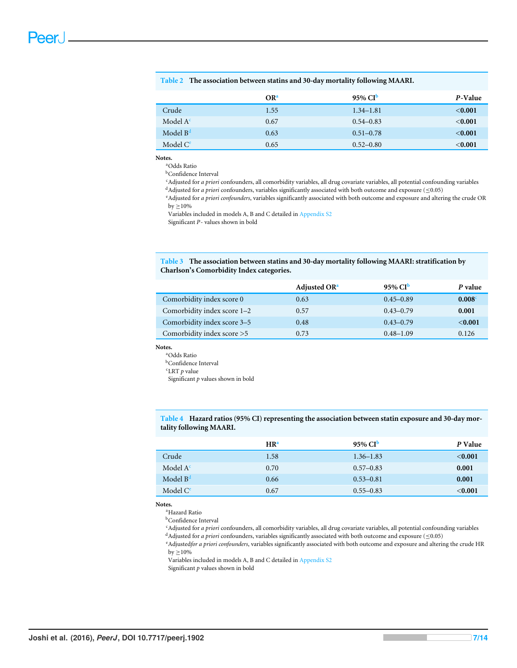<span id="page-6-0"></span>

|  | Table 2 The association between statins and 30-day mortality following MAARI. |  |  |  |  |  |  |  |  |  |
|--|-------------------------------------------------------------------------------|--|--|--|--|--|--|--|--|--|
|--|-------------------------------------------------------------------------------|--|--|--|--|--|--|--|--|--|

|                      | OR <sup>a</sup> | $95\%$ CI <sup>b</sup> | P-Value   |
|----------------------|-----------------|------------------------|-----------|
| Crude                | 1.55            | $1.34 - 1.81$          | < 0.001   |
| Model $A^c$          | 0.67            | $0.54 - 0.83$          | < 0.001   |
| Model $Bd$           | 0.63            | $0.51 - 0.78$          | < 0.001   |
| Model C <sup>e</sup> | 0.65            | $0.52 - 0.80$          | $<$ 0.001 |

#### <span id="page-6-3"></span>**Notes.**

<span id="page-6-4"></span><sup>a</sup>Odds Ratio

**bConfidence Interval** 

<span id="page-6-5"></span><sup>c</sup>Adjusted for *a priori* confounders, all comorbidity variables, all drug covariate variables, all potential confounding variables

<span id="page-6-6"></span>d Adjusted for *a priori* confounders, variables significantly associated with both outcome and exposure ( $\leq 0.05$ )

<span id="page-6-7"></span><sup>e</sup>Adjusted for *a priori confounders*, variables significantly associated with both outcome and exposure and altering the crude OR by  ${\geq}10\%$ 

Variables included in models A, B and C detailed in [Appendix S2](http://dx.doi.org/10.7717/peerj.1902/supp-2)

Significant *P*- values shown in bold

<span id="page-6-1"></span>**Table 3 The association between statins and 30-day mortality following MAARI: stratification by Charlson's Comorbidity Index categories.**

| Adjusted OR <sup>a</sup> | $95\%$ CI <sup>b</sup> | P value |
|--------------------------|------------------------|---------|
| 0.63                     | $0.45 - 0.89$          | 0.008   |
| 0.57                     | $0.43 - 0.79$          | 0.001   |
| 0.48                     | $0.43 - 0.79$          | < 0.001 |
| 0.73                     | $0.48 - 1.09$          | 0.126   |
|                          |                        |         |

#### <span id="page-6-8"></span>**Notes.**

<span id="page-6-9"></span><sup>a</sup>Odds Ratio **bConfidence** Interval

<span id="page-6-10"></span><sup>c</sup>LRT *p* value

Significant *p* values shown in bold

<span id="page-6-2"></span>**Table 4 Hazard ratios (95% CI) representing the association between statin exposure and 30-day mortality following MAARI.**

|                      | HR <sup>a</sup> | $95\%$ CI <sup>b</sup> | P Value |
|----------------------|-----------------|------------------------|---------|
| Crude                | 1.58            | $1.36 - 1.83$          | < 0.001 |
| Model $A^c$          | 0.70            | $0.57 - 0.83$          | 0.001   |
| Model $Bd$           | 0.66            | $0.53 - 0.81$          | 0.001   |
| Model C <sup>e</sup> | 0.67            | $0.55 - 0.83$          | < 0.001 |

<span id="page-6-11"></span>**Notes.**

<sup>a</sup>Hazard Ratio

<span id="page-6-12"></span> $^{\rm b}$ Confidence Interval

<span id="page-6-13"></span><sup>c</sup>Adjusted for *a priori* confounders, all comorbidity variables, all drug covariate variables, all potential confounding variables

<span id="page-6-14"></span> $^{\rm d}$  Adjusted for *a priori* confounders, variables significantly associated with both outcome and exposure ( ${\leq}0.05)$ 

<span id="page-6-15"></span><sup>e</sup>Adjusted*for a priori confounders*, variables significantly associated with both outcome and exposure and altering the crude HR by  $\geq$  10%

Variables included in models A, B and C detailed in [Appendix S2](http://dx.doi.org/10.7717/peerj.1902/supp-2)

Significant *p* values shown in bold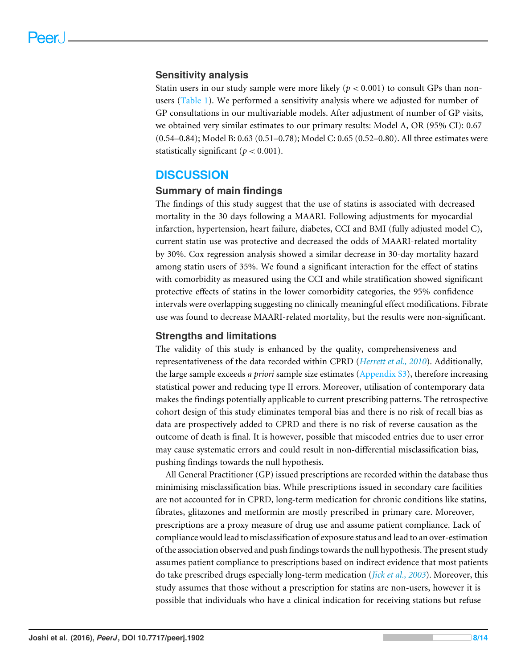## **Sensitivity analysis**

Statin users in our study sample were more likely ( $p < 0.001$ ) to consult GPs than nonusers [\(Table 1\)](#page-5-0). We performed a sensitivity analysis where we adjusted for number of GP consultations in our multivariable models. After adjustment of number of GP visits, we obtained very similar estimates to our primary results: Model A, OR (95% CI): 0.67 (0.54–0.84); Model B: 0.63 (0.51–0.78); Model C: 0.65 (0.52–0.80). All three estimates were statistically significant ( $p < 0.001$ ).

## **DISCUSSION**

## **Summary of main findings**

The findings of this study suggest that the use of statins is associated with decreased mortality in the 30 days following a MAARI. Following adjustments for myocardial infarction, hypertension, heart failure, diabetes, CCI and BMI (fully adjusted model C), current statin use was protective and decreased the odds of MAARI-related mortality by 30%. Cox regression analysis showed a similar decrease in 30-day mortality hazard among statin users of 35%. We found a significant interaction for the effect of statins with comorbidity as measured using the CCI and while stratification showed significant protective effects of statins in the lower comorbidity categories, the 95% confidence intervals were overlapping suggesting no clinically meaningful effect modifications. Fibrate use was found to decrease MAARI-related mortality, but the results were non-significant.

## **Strengths and limitations**

The validity of this study is enhanced by the quality, comprehensiveness and representativeness of the data recorded within CPRD (*[Herrett et al., 2010](#page-11-1)*). Additionally, the large sample exceeds *a priori* sample size estimates [\(Appendix S3\)](http://dx.doi.org/10.7717/peerj.1902/supp-3), therefore increasing statistical power and reducing type II errors. Moreover, utilisation of contemporary data makes the findings potentially applicable to current prescribing patterns. The retrospective cohort design of this study eliminates temporal bias and there is no risk of recall bias as data are prospectively added to CPRD and there is no risk of reverse causation as the outcome of death is final. It is however, possible that miscoded entries due to user error may cause systematic errors and could result in non-differential misclassification bias, pushing findings towards the null hypothesis.

All General Practitioner (GP) issued prescriptions are recorded within the database thus minimising misclassification bias. While prescriptions issued in secondary care facilities are not accounted for in CPRD, long-term medication for chronic conditions like statins, fibrates, glitazones and metformin are mostly prescribed in primary care. Moreover, prescriptions are a proxy measure of drug use and assume patient compliance. Lack of compliance would lead to misclassification of exposure status and lead to an over-estimation of the association observed and push findings towards the null hypothesis. The present study assumes patient compliance to prescriptions based on indirect evidence that most patients do take prescribed drugs especially long-term medication (*[Jick et al., 2003](#page-12-8)*). Moreover, this study assumes that those without a prescription for statins are non-users, however it is possible that individuals who have a clinical indication for receiving stations but refuse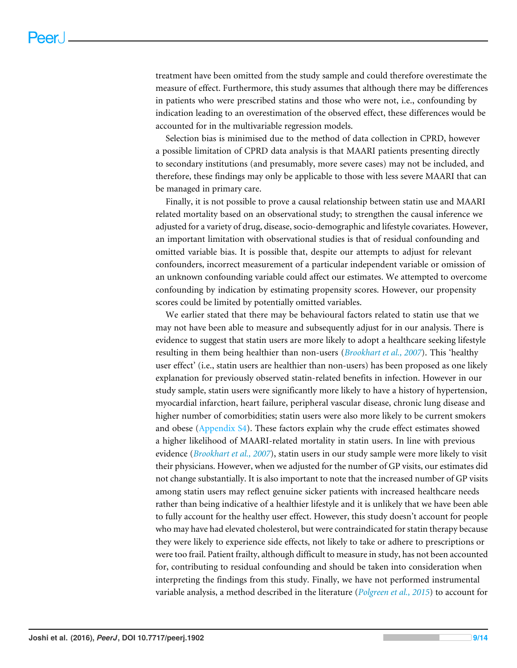treatment have been omitted from the study sample and could therefore overestimate the measure of effect. Furthermore, this study assumes that although there may be differences in patients who were prescribed statins and those who were not, i.e., confounding by indication leading to an overestimation of the observed effect, these differences would be accounted for in the multivariable regression models.

Selection bias is minimised due to the method of data collection in CPRD, however a possible limitation of CPRD data analysis is that MAARI patients presenting directly to secondary institutions (and presumably, more severe cases) may not be included, and therefore, these findings may only be applicable to those with less severe MAARI that can be managed in primary care.

Finally, it is not possible to prove a causal relationship between statin use and MAARI related mortality based on an observational study; to strengthen the causal inference we adjusted for a variety of drug, disease, socio-demographic and lifestyle covariates. However, an important limitation with observational studies is that of residual confounding and omitted variable bias. It is possible that, despite our attempts to adjust for relevant confounders, incorrect measurement of a particular independent variable or omission of an unknown confounding variable could affect our estimates. We attempted to overcome confounding by indication by estimating propensity scores. However, our propensity scores could be limited by potentially omitted variables.

We earlier stated that there may be behavioural factors related to statin use that we may not have been able to measure and subsequently adjust for in our analysis. There is evidence to suggest that statin users are more likely to adopt a healthcare seeking lifestyle resulting in them being healthier than non-users (*[Brookhart et al., 2007](#page-11-4)*). This 'healthy user effect' (i.e., statin users are healthier than non-users) has been proposed as one likely explanation for previously observed statin-related benefits in infection. However in our study sample, statin users were significantly more likely to have a history of hypertension, myocardial infarction, heart failure, peripheral vascular disease, chronic lung disease and higher number of comorbidities; statin users were also more likely to be current smokers and obese [\(Appendix S4\)](http://dx.doi.org/10.7717/peerj.1902/supp-4). These factors explain why the crude effect estimates showed a higher likelihood of MAARI-related mortality in statin users. In line with previous evidence (*[Brookhart et al., 2007](#page-11-4)*), statin users in our study sample were more likely to visit their physicians. However, when we adjusted for the number of GP visits, our estimates did not change substantially. It is also important to note that the increased number of GP visits among statin users may reflect genuine sicker patients with increased healthcare needs rather than being indicative of a healthier lifestyle and it is unlikely that we have been able to fully account for the healthy user effect. However, this study doesn't account for people who may have had elevated cholesterol, but were contraindicated for statin therapy because they were likely to experience side effects, not likely to take or adhere to prescriptions or were too frail. Patient frailty, although difficult to measure in study, has not been accounted for, contributing to residual confounding and should be taken into consideration when interpreting the findings from this study. Finally, we have not performed instrumental variable analysis, a method described in the literature (*[Polgreen et al., 2015](#page-12-9)*) to account for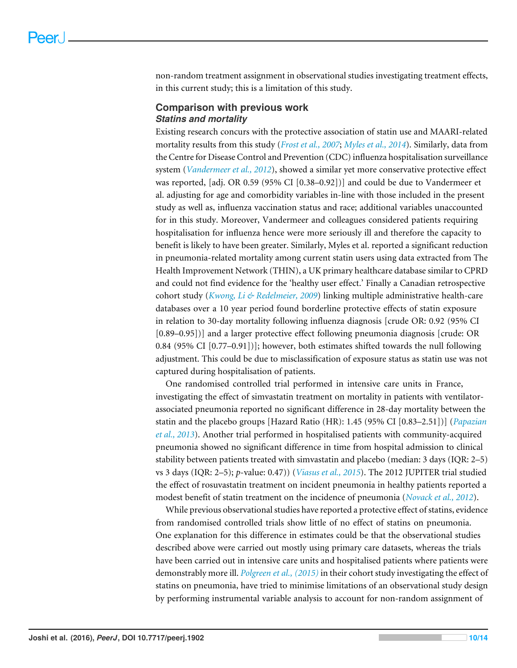non-random treatment assignment in observational studies investigating treatment effects, in this current study; this is a limitation of this study.

## **Comparison with previous work** *Statins and mortality*

Existing research concurs with the protective association of statin use and MAARI-related mortality results from this study (*[Frost et al., 2007](#page-11-5)*; *[Myles et al., 2014](#page-12-10)*). Similarly, data from the Centre for Disease Control and Prevention (CDC) influenza hospitalisation surveillance system (*[Vandermeer et al., 2012](#page-13-1)*), showed a similar yet more conservative protective effect was reported, [adj. OR 0.59 (95% CI [0.38–0.92])] and could be due to Vandermeer et al. adjusting for age and comorbidity variables in-line with those included in the present study as well as, influenza vaccination status and race; additional variables unaccounted for in this study. Moreover, Vandermeer and colleagues considered patients requiring hospitalisation for influenza hence were more seriously ill and therefore the capacity to benefit is likely to have been greater. Similarly, Myles et al. reported a significant reduction in pneumonia-related mortality among current statin users using data extracted from The Health Improvement Network (THIN), a UK primary healthcare database similar to CPRD and could not find evidence for the 'healthy user effect.' Finally a Canadian retrospective cohort study (*[Kwong, Li & Redelmeier, 2009](#page-12-11)*) linking multiple administrative health-care databases over a 10 year period found borderline protective effects of statin exposure in relation to 30-day mortality following influenza diagnosis [crude OR: 0.92 (95% CI [0.89–0.95])] and a larger protective effect following pneumonia diagnosis [crude: OR 0.84 (95% CI [0.77–0.91])]; however, both estimates shifted towards the null following adjustment. This could be due to misclassification of exposure status as statin use was not captured during hospitalisation of patients.

One randomised controlled trial performed in intensive care units in France, investigating the effect of simvastatin treatment on mortality in patients with ventilatorassociated pneumonia reported no significant difference in 28-day mortality between the statin and the placebo groups [Hazard Ratio (HR): 1.45 (95% CI [0.83–2.51])] (*[Papazian](#page-12-12) [et al., 2013](#page-12-12)*). Another trial performed in hospitalised patients with community-acquired pneumonia showed no significant difference in time from hospital admission to clinical stability between patients treated with simvastatin and placebo (median: 3 days (IQR: 2–5) vs 3 days (IQR: 2–5); *p*-value: 0.47)) (*[Viasus et al., 2015](#page-13-2)*). The 2012 JUPITER trial studied the effect of rosuvastatin treatment on incident pneumonia in healthy patients reported a modest benefit of statin treatment on the incidence of pneumonia (*[Novack et al., 2012](#page-12-13)*).

While previous observational studies have reported a protective effect of statins, evidence from randomised controlled trials show little of no effect of statins on pneumonia. One explanation for this difference in estimates could be that the observational studies described above were carried out mostly using primary care datasets, whereas the trials have been carried out in intensive care units and hospitalised patients where patients were demonstrably more ill. *[Polgreen et al., \(2015\)](#page-12-9)* in their cohort study investigating the effect of statins on pneumonia, have tried to minimise limitations of an observational study design by performing instrumental variable analysis to account for non-random assignment of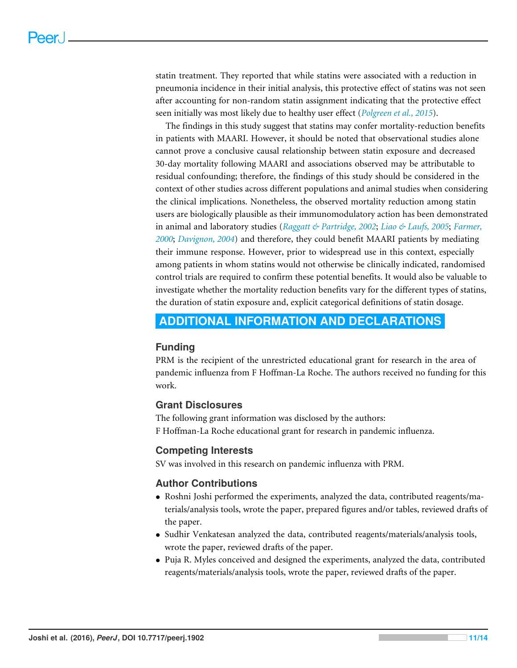statin treatment. They reported that while statins were associated with a reduction in pneumonia incidence in their initial analysis, this protective effect of statins was not seen after accounting for non-random statin assignment indicating that the protective effect seen initially was most likely due to healthy user effect (*[Polgreen et al., 2015](#page-12-9)*).

The findings in this study suggest that statins may confer mortality-reduction benefits in patients with MAARI. However, it should be noted that observational studies alone cannot prove a conclusive causal relationship between statin exposure and decreased 30-day mortality following MAARI and associations observed may be attributable to residual confounding; therefore, the findings of this study should be considered in the context of other studies across different populations and animal studies when considering the clinical implications. Nonetheless, the observed mortality reduction among statin users are biologically plausible as their immunomodulatory action has been demonstrated in animal and laboratory studies (*[Raggatt & Partridge, 2002](#page-12-3)*; *[Liao & Laufs, 2005](#page-12-14)*; *[Farmer,](#page-11-6) [2000](#page-11-6)*; *[Davignon, 2004](#page-11-7)*) and therefore, they could benefit MAARI patients by mediating their immune response. However, prior to widespread use in this context, especially among patients in whom statins would not otherwise be clinically indicated, randomised control trials are required to confirm these potential benefits. It would also be valuable to investigate whether the mortality reduction benefits vary for the different types of statins, the duration of statin exposure and, explicit categorical definitions of statin dosage.

## <span id="page-10-0"></span>**ADDITIONAL INFORMATION AND DECLARATIONS**

## **Funding**

PRM is the recipient of the unrestricted educational grant for research in the area of pandemic influenza from F Hoffman-La Roche. The authors received no funding for this work.

## **Grant Disclosures**

The following grant information was disclosed by the authors: F Hoffman-La Roche educational grant for research in pandemic influenza.

## **Competing Interests**

SV was involved in this research on pandemic influenza with PRM.

## **Author Contributions**

- [Roshni Joshi](#page-0-2) performed the experiments, analyzed the data, contributed reagents/materials/analysis tools, wrote the paper, prepared figures and/or tables, reviewed drafts of the paper.
- [Sudhir Venkatesan](#page-0-3) analyzed the data, contributed reagents/materials/analysis tools, wrote the paper, reviewed drafts of the paper.
- [Puja R. Myles](#page-0-4) conceived and designed the experiments, analyzed the data, contributed reagents/materials/analysis tools, wrote the paper, reviewed drafts of the paper.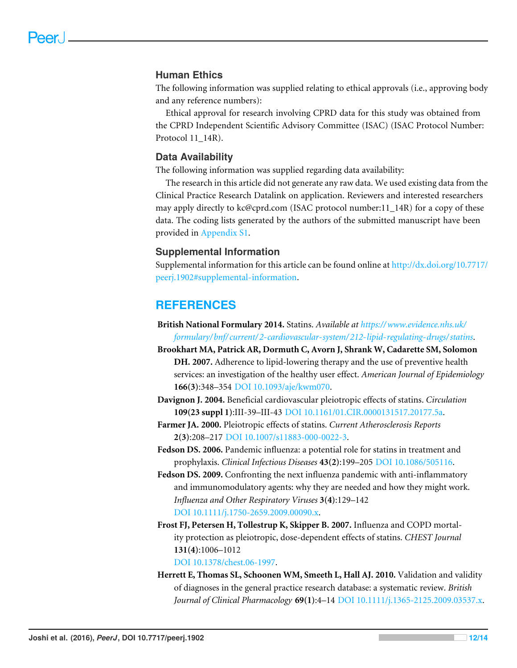## **Human Ethics**

The following information was supplied relating to ethical approvals (i.e., approving body and any reference numbers):

Ethical approval for research involving CPRD data for this study was obtained from the CPRD Independent Scientific Advisory Committee (ISAC) (ISAC Protocol Number: Protocol 11\_14R).

## **Data Availability**

The following information was supplied regarding data availability:

The research in this article did not generate any raw data. We used existing data from the Clinical Practice Research Datalink on application. Reviewers and interested researchers may apply directly to kc@cprd.com (ISAC protocol number:11\_14R) for a copy of these data. The coding lists generated by the authors of the submitted manuscript have been provided in [Appendix S1.](http://dx.doi.org/10.7717/peerj.1902/supp-1)

## **Supplemental Information**

Supplemental information for this article can be found online at [http://dx.doi.org/10.7717/](http://dx.doi.org/10.7717/peerj.1902#supplemental-information) [peerj.1902#supplemental-information.](http://dx.doi.org/10.7717/peerj.1902#supplemental-information)

## **REFERENCES**

- <span id="page-11-2"></span>**British National Formulary 2014.** Statins. *Available at [https://www.evidence.nhs.uk/](https://www.evidence.nhs.uk/formulary/bnf/current/2-cardiovascular-system/212-lipid-regulating-drugs/statins) [formulary/ bnf/ current/ 2-cardiovascular-system/ 212-lipid-regulating-drugs/ statins](https://www.evidence.nhs.uk/formulary/bnf/current/2-cardiovascular-system/212-lipid-regulating-drugs/statins)*.
- <span id="page-11-4"></span>**Brookhart MA, Patrick AR, Dormuth C, Avorn J, Shrank W, Cadarette SM, Solomon DH. 2007.** Adherence to lipid-lowering therapy and the use of preventive health services: an investigation of the healthy user effect. *American Journal of Epidemiology* **166(3)**:348–354 [DOI 10.1093/aje/kwm070.](http://dx.doi.org/10.1093/aje/kwm070)
- <span id="page-11-7"></span>**Davignon J. 2004.** Beneficial cardiovascular pleiotropic effects of statins. *Circulation* **109(23 suppl 1)**:III-39–III-43 [DOI 10.1161/01.CIR.0000131517.20177.5a.](http://dx.doi.org/10.1161/01.CIR.0000131517.20177.5a)
- <span id="page-11-6"></span>**Farmer JA. 2000.** Pleiotropic effects of statins. *Current Atherosclerosis Reports* **2(3)**:208–217 [DOI 10.1007/s11883-000-0022-3.](http://dx.doi.org/10.1007/s11883-000-0022-3)
- <span id="page-11-0"></span>**Fedson DS. 2006.** Pandemic influenza: a potential role for statins in treatment and prophylaxis. *Clinical Infectious Diseases* **43(2)**:199–205 [DOI 10.1086/505116.](http://dx.doi.org/10.1086/505116)
- <span id="page-11-3"></span>**Fedson DS. 2009.** Confronting the next influenza pandemic with anti-inflammatory and immunomodulatory agents: why they are needed and how they might work. *Influenza and Other Respiratory Viruses* **3(4)**:129–142 [DOI 10.1111/j.1750-2659.2009.00090.x.](http://dx.doi.org/10.1111/j.1750-2659.2009.00090.x)
- <span id="page-11-5"></span>**Frost FJ, Petersen H, Tollestrup K, Skipper B. 2007.** Influenza and COPD mortality protection as pleiotropic, dose-dependent effects of statins. *CHEST Journal* **131(4)**:1006–1012

[DOI 10.1378/chest.06-1997.](http://dx.doi.org/10.1378/chest.06-1997)

<span id="page-11-1"></span>**Herrett E, Thomas SL, Schoonen WM, Smeeth L, Hall AJ. 2010.** Validation and validity of diagnoses in the general practice research database: a systematic review. *British Journal of Clinical Pharmacology* **69(1)**:4–14 [DOI 10.1111/j.1365-2125.2009.03537.x.](http://dx.doi.org/10.1111/j.1365-2125.2009.03537.x)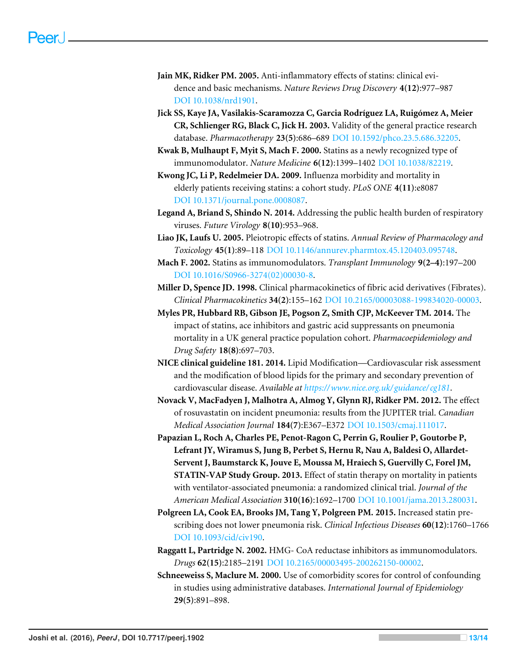- <span id="page-12-5"></span>**Jain MK, Ridker PM. 2005.** Anti-inflammatory effects of statins: clinical evidence and basic mechanisms. *Nature Reviews Drug Discovery* **4(12)**:977–987 [DOI 10.1038/nrd1901.](http://dx.doi.org/10.1038/nrd1901)
- <span id="page-12-8"></span>**Jick SS, Kaye JA, Vasilakis-Scaramozza C, Garcia Rodríguez LA, Ruigómez A, Meier CR, Schlienger RG, Black C, Jick H. 2003.** Validity of the general practice research database. *Pharmacotherapy* **23(5)**:686–689 [DOI 10.1592/phco.23.5.686.32205.](http://dx.doi.org/10.1592/phco.23.5.686.32205)
- <span id="page-12-1"></span>**Kwak B, Mulhaupt F, Myit S, Mach F. 2000.** Statins as a newly recognized type of immunomodulator. *Nature Medicine* **6(12)**:1399–1402 [DOI 10.1038/82219.](http://dx.doi.org/10.1038/82219)
- <span id="page-12-11"></span>**Kwong JC, Li P, Redelmeier DA. 2009.** Influenza morbidity and mortality in elderly patients receiving statins: a cohort study. *PLoS ONE* **4(11)**:e8087 [DOI 10.1371/journal.pone.0008087.](http://dx.doi.org/10.1371/journal.pone.0008087)
- <span id="page-12-0"></span>**Legand A, Briand S, Shindo N. 2014.** Addressing the public health burden of respiratory viruses. *Future Virology* **8(10)**:953–968.
- <span id="page-12-14"></span>**Liao JK, Laufs U. 2005.** Pleiotropic effects of statins. *Annual Review of Pharmacology and Toxicology* **45(1)**:89–118 [DOI 10.1146/annurev.pharmtox.45.120403.095748.](http://dx.doi.org/10.1146/annurev.pharmtox.45.120403.095748)
- <span id="page-12-2"></span>**Mach F. 2002.** Statins as immunomodulators. *Transplant Immunology* **9(2–4)**:197–200 [DOI 10.1016/S0966-3274\(02\)00030-8.](http://dx.doi.org/10.1016/S0966-3274(02)00030-8)
- <span id="page-12-4"></span>**Miller D, Spence JD. 1998.** Clinical pharmacokinetics of fibric acid derivatives (Fibrates). *Clinical Pharmacokinetics* **34(2)**:155–162 [DOI 10.2165/00003088-199834020-00003.](http://dx.doi.org/10.2165/00003088-199834020-00003)
- <span id="page-12-10"></span>**Myles PR, Hubbard RB, Gibson JE, Pogson Z, Smith CJP, McKeever TM. 2014.** The impact of statins, ace inhibitors and gastric acid suppressants on pneumonia mortality in a UK general practice population cohort. *Pharmacoepidemiology and Drug Safety* **18(8)**:697–703.
- <span id="page-12-7"></span>**NICE clinical guideline 181. 2014.** Lipid Modification—Cardiovascular risk assessment and the modification of blood lipids for the primary and secondary prevention of cardiovascular disease. *Available at [https://www.nice.org.uk/ guidance/ cg181](https://www.nice.org.uk/guidance/cg181)*.
- <span id="page-12-13"></span>**Novack V, MacFadyen J, Malhotra A, Almog Y, Glynn RJ, Ridker PM. 2012.** The effect of rosuvastatin on incident pneumonia: results from the JUPITER trial. *Canadian Medical Association Journal* **184(7)**:E367–E372 [DOI 10.1503/cmaj.111017.](http://dx.doi.org/10.1503/cmaj.111017)
- <span id="page-12-12"></span>**Papazian L, Roch A, Charles PE, Penot-Ragon C, Perrin G, Roulier P, Goutorbe P, Lefrant JY, Wiramus S, Jung B, Perbet S, Hernu R, Nau A, Baldesi O, Allardet-Servent J, Baumstarck K, Jouve E, Moussa M, Hraiech S, Guervilly C, Forel JM, STATIN-VAP Study Group. 2013.** Effect of statin therapy on mortality in patients with ventilator-associated pneumonia: a randomized clinical trial. *Journal of the American Medical Association* **310(16)**:1692–1700 [DOI 10.1001/jama.2013.280031.](http://dx.doi.org/10.1001/jama.2013.280031)
- <span id="page-12-9"></span>**Polgreen LA, Cook EA, Brooks JM, Tang Y, Polgreen PM. 2015.** Increased statin prescribing does not lower pneumonia risk. *Clinical Infectious Diseases* **60(12)**:1760–176[6](http://dx.doi.org/10.1093/cid/civ190) [DOI 10.1093/cid/civ190.](http://dx.doi.org/10.1093/cid/civ190)
- <span id="page-12-3"></span>**Raggatt L, Partridge N. 2002.** HMG- CoA reductase inhibitors as immunomodulators. *Drugs* **62(15)**:2185–2191 [DOI 10.2165/00003495-200262150-00002.](http://dx.doi.org/10.2165/00003495-200262150-00002)
- <span id="page-12-6"></span>**Schneeweiss S, Maclure M. 2000.** Use of comorbidity scores for control of confounding in studies using administrative databases. *International Journal of Epidemiology* **29(5)**:891–898.